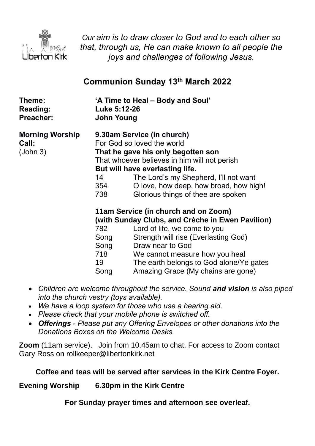

*Our aim is to draw closer to God and to each other so that, through us, He can make known to all people the joys and challenges of following Jesus.*

# **Communion Sunday 13th March 2022**

| Theme:<br><b>Reading:</b><br>Preacher:      | 'A Time to Heal – Body and Soul'<br>Luke 5:12-26<br>John Young |                                                                                                                                                                                                                                                                                                            |
|---------------------------------------------|----------------------------------------------------------------|------------------------------------------------------------------------------------------------------------------------------------------------------------------------------------------------------------------------------------------------------------------------------------------------------------|
| <b>Morning Worship</b><br>Call:<br>(John 3) | 14<br>354<br>738                                               | 9.30am Service (in church)<br>For God so loved the world<br>That he gave his only begotten son<br>That whoever believes in him will not perish<br>But will have everlasting life.<br>The Lord's my Shepherd, I'll not want<br>O love, how deep, how broad, how high!<br>Glorious things of thee are spoken |
|                                             | 782<br>Song<br>Song<br>718<br>19<br>Song                       | 11am Service (in church and on Zoom)<br>(with Sunday Clubs, and Crèche in Ewen Pavilion)<br>Lord of life, we come to you<br>Strength will rise (Everlasting God)<br>Draw near to God<br>We cannot measure how you heal<br>The earth belongs to God alone/Ye gates<br>Amazing Grace (My chains are gone)    |

- *Children are welcome throughout the service. Sound and vision is also piped into the church vestry (toys available).*
- *We have a loop system for those who use a hearing aid.*
- *Please check that your mobile phone is switched off.*
- *Offerings - Please put any Offering Envelopes or other donations into the Donations Boxes on the Welcome Desks.*

**Zoom** (11am service).Join from 10.45am to chat. For access to Zoom contact Gary Ross on rollkeeper@libertonkirk.net

## **Coffee and teas will be served after services in the Kirk Centre Foyer.**

**Evening Worship 6.30pm in the Kirk Centre**

**For Sunday prayer times and afternoon see overleaf.**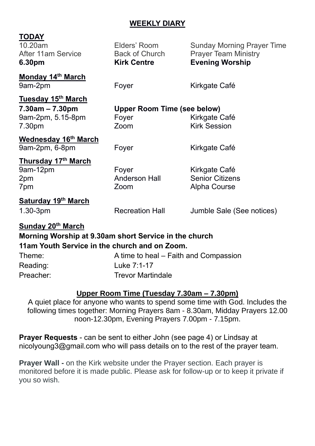### **WEEKLY DIARY**

| <b>TODAY</b><br>10.20am<br><b>After 11am Service</b><br>6.30pm                                                              | Elders' Room<br><b>Back of Church</b><br><b>Kirk Centre</b> | <b>Sunday Morning Prayer Time</b><br><b>Prayer Team Ministry</b><br><b>Evening Worship</b> |
|-----------------------------------------------------------------------------------------------------------------------------|-------------------------------------------------------------|--------------------------------------------------------------------------------------------|
| <b>Monday 14th March</b><br>9am-2pm                                                                                         | Foyer                                                       | Kirkgate Café                                                                              |
| <b>Tuesday 15<sup>th</sup> March</b><br>$7.30am - 7.30pm$<br>9am-2pm, 5.15-8pm<br>7.30pm                                    | <b>Upper Room Time (see below)</b><br>Foyer<br>Zoom         | Kirkgate Café<br><b>Kirk Session</b>                                                       |
| <b>Wednesday 16th March</b><br>9am-2pm, 6-8pm                                                                               | Foyer                                                       | Kirkgate Café                                                                              |
| <b>Thursday 17th March</b><br>9am-12pm<br>2pm<br>7pm                                                                        | Foyer<br><b>Anderson Hall</b><br>Zoom                       | Kirkgate Café<br><b>Senior Citizens</b><br><b>Alpha Course</b>                             |
| <b>Saturday 19th March</b><br>$1.30 - 3pm$                                                                                  | <b>Recreation Hall</b>                                      | Jumble Sale (See notices)                                                                  |
| Sunday 20th March<br>Morning Worship at 9.30am short Service in the church<br>11am Youth Service in the church and on Zoom. |                                                             |                                                                                            |

| Theme:    | A time to heal – Faith and Compassion |
|-----------|---------------------------------------|
| Reading:  | Luke 7:1-17                           |
| Preacher: | <b>Trevor Martindale</b>              |

#### **Upper Room Time (Tuesday 7.30am – 7.30pm)**

A quiet place for anyone who wants to spend some time with God. Includes the following times together: Morning Prayers 8am - 8.30am, Midday Prayers 12.00 noon-12.30pm, Evening Prayers 7.00pm - 7.15pm.

**Prayer Requests** - can be sent to either John (see page 4) or Lindsay at [nicolyoung3@gmail.com](mailto:nicolyoung3@gmail.com) who will pass details on to the rest of the prayer team.

**Prayer Wall -** on the Kirk website under the Prayer section. Each prayer is monitored before it is made public. Please ask for follow-up or to keep it private if you so wish.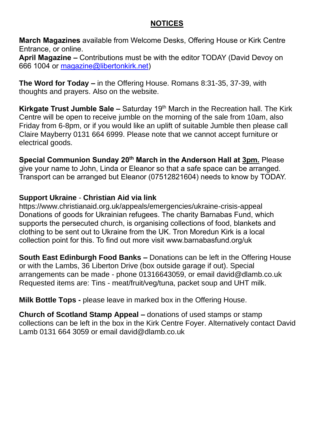#### **NOTICES**

**March Magazines** available from Welcome Desks, Offering House or Kirk Centre Entrance, or online.

**April Magazine –** Contributions must be with the editor TODAY (David Devoy on 666 1004 or [magazine@libertonkirk.net\)](mailto:magazine@libertonkirk.net)

**The Word for Today –** in the Offering House. Romans 8:31-35, 37-39, with thoughts and prayers. Also on the website.

**Kirkgate Trust Jumble Sale –** Saturday 19<sup>th</sup> March in the Recreation hall. The Kirk Centre will be open to receive jumble on the morning of the sale from 10am, also Friday from 6-8pm, or if you would like an uplift of suitable Jumble then please call Claire Mayberry 0131 664 6999. Please note that we cannot accept furniture or electrical goods.

**Special Communion Sunday 20th March in the Anderson Hall at 3pm.** Please give your name to John, Linda or Eleanor so that a safe space can be arranged. Transport can be arranged but Eleanor (07512821604) needs to know by TODAY.

#### **Support Ukraine** - **Christian Aid via link**

<https://www.christianaid.org.uk/appeals/emergencies/ukraine-crisis-appeal> Donations of goods for Ukrainian refugees. The charity Barnabas Fund, which supports the persecuted church, is organising collections of food, blankets and clothing to be sent out to Ukraine from the UK. Tron Moredun Kirk is a local collection point for this. To find out more visit [www.barnabasfund.org/uk](http://www.barnabasfund.org/uk) 

**South East Edinburgh Food Banks –** Donations can be left in the Offering House or with the Lambs, 36 Liberton Drive (box outside garage if out). Special arrangements can be made - phone 01316643059, or email [david@dlamb.co.uk](mailto:david@dlamb.co.uk)  Requested items are: Tins - meat/fruit/veg/tuna, packet soup and UHT milk.

**Milk Bottle Tops -** please leave in marked box in the Offering House.

**Church of Scotland Stamp Appeal –** donations of used stamps or stamp collections can be left in the box in the Kirk Centre Foyer. Alternatively contact David Lamb 0131 664 3059 or email [david@dlamb.co.uk](mailto:david@dlamb.co.uk)